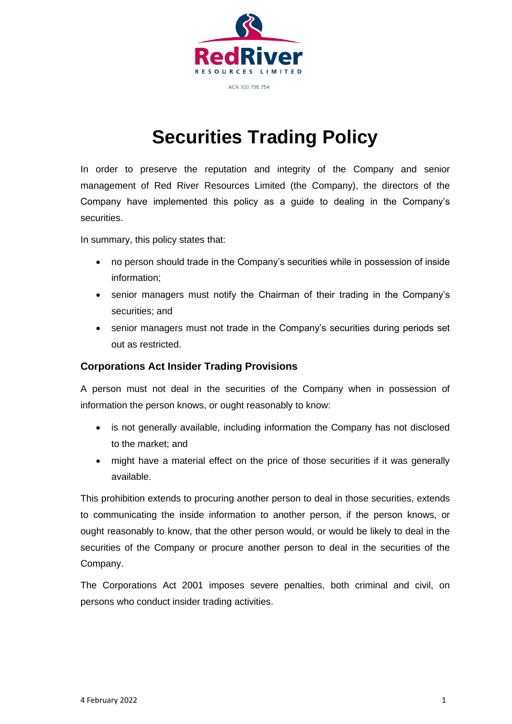

# **Securities Trading Policy**

In order to preserve the reputation and integrity of the Company and senior management of Red River Resources Limited (the Company), the directors of the Company have implemented this policy as a guide to dealing in the Company's securities.

In summary, this policy states that:

- no person should trade in the Company's securities while in possession of inside information;
- senior managers must notify the Chairman of their trading in the Company's securities; and
- senior managers must not trade in the Company's securities during periods set out as restricted.

## **Corporations Act Insider Trading Provisions**

A person must not deal in the securities of the Company when in possession of information the person knows, or ought reasonably to know:

- is not generally available, including information the Company has not disclosed to the market; and
- might have a material effect on the price of those securities if it was generally available.

This prohibition extends to procuring another person to deal in those securities, extends to communicating the inside information to another person, if the person knows, or ought reasonably to know, that the other person would, or would be likely to deal in the securities of the Company or procure another person to deal in the securities of the Company.

The Corporations Act 2001 imposes severe penalties, both criminal and civil, on persons who conduct insider trading activities.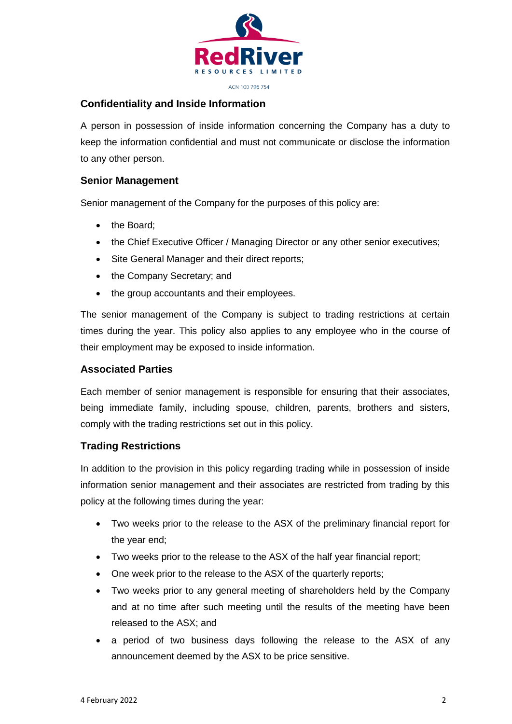

## **Confidentiality and Inside Information**

A person in possession of inside information concerning the Company has a duty to keep the information confidential and must not communicate or disclose the information to any other person.

#### **Senior Management**

Senior management of the Company for the purposes of this policy are:

- the Board;
- the Chief Executive Officer / Managing Director or any other senior executives;
- Site General Manager and their direct reports;
- the Company Secretary; and
- the group accountants and their employees.

The senior management of the Company is subject to trading restrictions at certain times during the year. This policy also applies to any employee who in the course of their employment may be exposed to inside information.

#### **Associated Parties**

Each member of senior management is responsible for ensuring that their associates, being immediate family, including spouse, children, parents, brothers and sisters, comply with the trading restrictions set out in this policy.

## **Trading Restrictions**

In addition to the provision in this policy regarding trading while in possession of inside information senior management and their associates are restricted from trading by this policy at the following times during the year:

- Two weeks prior to the release to the ASX of the preliminary financial report for the year end;
- Two weeks prior to the release to the ASX of the half year financial report;
- One week prior to the release to the ASX of the quarterly reports;
- Two weeks prior to any general meeting of shareholders held by the Company and at no time after such meeting until the results of the meeting have been released to the ASX; and
- a period of two business days following the release to the ASX of any announcement deemed by the ASX to be price sensitive.